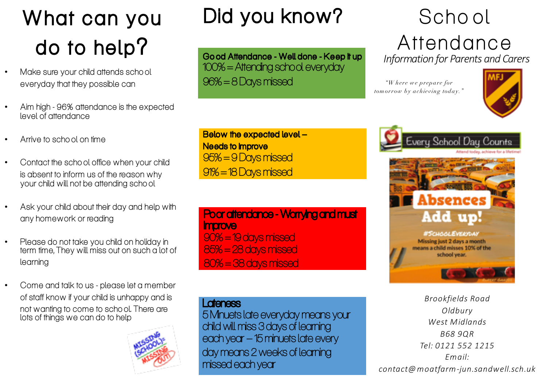# What can you do to help?

- Make sure your child attends scho ol everyday that they possible can
- Aim high 96% attendance is the expected level of attendance
- Arrive to scho ol on time
- Contact the scho ol office when your child is absent to inform us of the reason why your child will not be attending scho ol
- Ask your child about their day and help with any homework or reading
- Please do not take you child on holiday in term time, They will miss out on such a lot of learning
- Come and talk to us please let a member of staff know if your child is unhappy and is not wanting to come to scho ol. There are lots of things we can do to help



# Did you know?

Go od Attendance - Well done - Keep it up 100% = Attending school everyday 96% = 8 Days missed

Below the expected level – **Needs to Improve** 95% = 9 Days missed 91% = 18 Days missed

Poor attendance - Worrying and must **improve** 90% = 19 days missed 85% = 28 days missed 80% = 38 days missed

#### **Lateness**

5 Minuets late everyday means your child will miss 3 days of learning each year –15 minuets late every day means 2 weeks of learning missed each year

## Scho ol Attendance *Information for Parents and Carers*

*"W here we prepare for tomorrow by achieving today."*







*Brookfields Road Oldbury West Midlands B68 9QR Tel: 0121 552 1215 Email: contact@moatfarm-jun.sandwell.sch.uk*